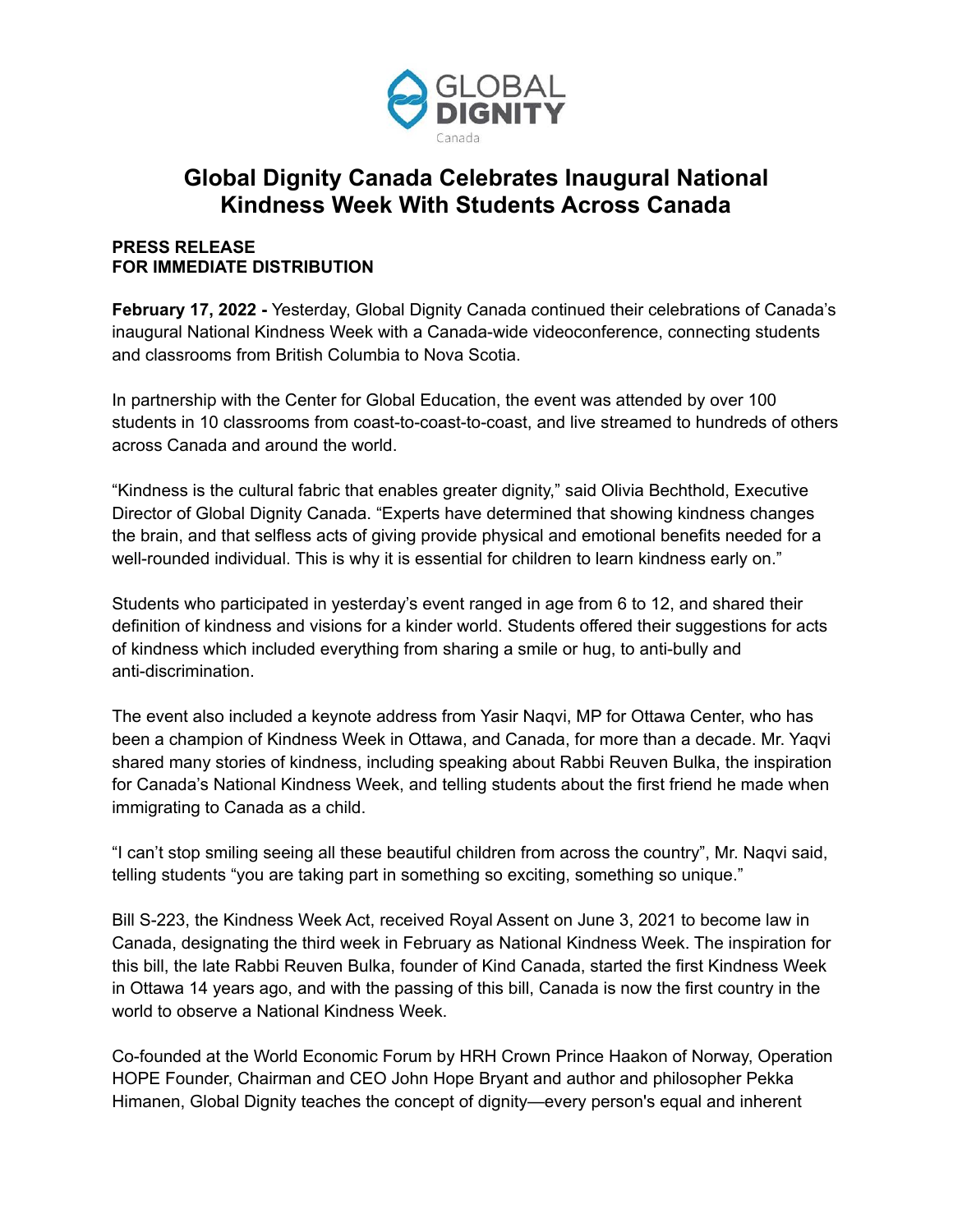

## **Global Dignity Canada Celebrates Inaugural National Kindness Week With Students Across Canada**

## **PRESS RELEASE FOR IMMEDIATE DISTRIBUTION**

**February 17, 2022 -** Yesterday, Global Dignity Canada continued their celebrations of Canada's inaugural National Kindness Week with a Canada-wide videoconference, connecting students and classrooms from British Columbia to Nova Scotia.

In partnership with the Center for Global Education, the event was attended by over 100 students in 10 classrooms from coast-to-coast-to-coast, and live streamed to hundreds of others across Canada and around the world.

"Kindness is the cultural fabric that enables greater dignity," said Olivia Bechthold, Executive Director of Global Dignity Canada. "Experts have determined that showing kindness changes the brain, and that selfless acts of giving provide physical and emotional benefits needed for a well-rounded individual. This is why it is essential for children to learn kindness early on."

Students who participated in yesterday's event ranged in age from 6 to 12, and shared their definition of kindness and visions for a kinder world. Students offered their suggestions for acts of kindness which included everything from sharing a smile or hug, to anti-bully and anti-discrimination.

The event also included a keynote address from Yasir Naqvi, MP for Ottawa Center, who has been a champion of Kindness Week in Ottawa, and Canada, for more than a decade. Mr. Yaqvi shared many stories of kindness, including speaking about Rabbi Reuven Bulka, the inspiration for Canada's National Kindness Week, and telling students about the first friend he made when immigrating to Canada as a child.

"I can't stop smiling seeing all these beautiful children from across the country", Mr. Naqvi said, telling students "you are taking part in something so exciting, something so unique."

Bill S-223, the Kindness Week Act, received Royal Assent on June 3, 2021 to become law in Canada, designating the third week in February as National Kindness Week. The inspiration for this bill, the late Rabbi Reuven Bulka, founder of Kind Canada, started the first Kindness Week in Ottawa 14 years ago, and with the passing of this bill, Canada is now the first country in the world to observe a National Kindness Week.

Co-founded at the World Economic Forum by HRH Crown Prince Haakon of Norway, Operation HOPE Founder, Chairman and CEO John Hope Bryant and author and philosopher Pekka Himanen, Global Dignity teaches the concept of dignity—every person's equal and inherent